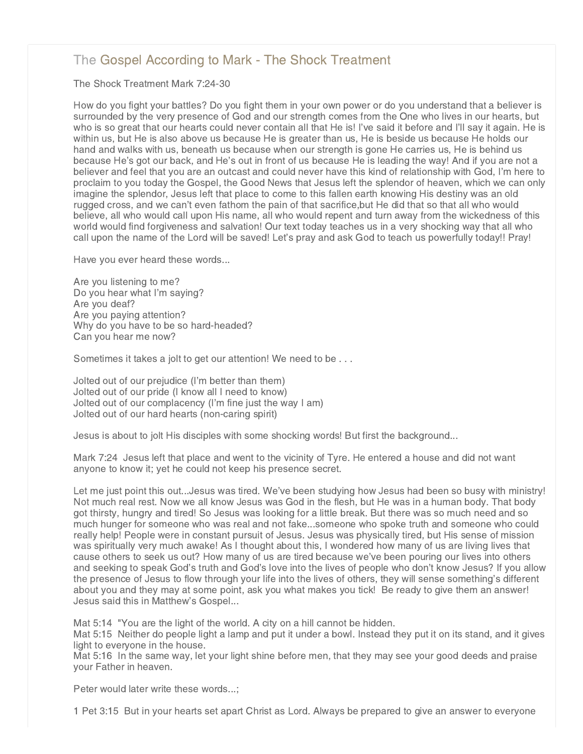## [The Gospel According to Mark - The Shock Treatment](http://www.northshorechurch.net/resources/sermons/sermon-notes/434-the-gospel-according-to-mark-the-shock-treatment)

The Shock Treatment Mark 7:24-30

How do you fight your battles? Do you fight them in your own power or do you understand that a believer is surrounded by the very presence of God and our strength comes from the One who lives in our hearts, but who is so great that our hearts could never contain all that He is! I've said it before and I'll say it again. He is within us, but He is also above us because He is greater than us, He is beside us because He holds our hand and walks with us, beneath us because when our strength is gone He carries us, He is behind us because He's got our back, and He's out in front of us because He is leading the way! And if you are not a believer and feel that you are an outcast and could never have this kind of relationship with God, I'm here to proclaim to you today the Gospel, the Good News that Jesus left the splendor of heaven, which we can only imagine the splendor, Jesus left that place to come to this fallen earth knowing His destiny was an old rugged cross, and we can't even fathom the pain of that sacrifice,but He did that so that all who would believe, all who would call upon His name, all who would repent and turn away from the wickedness of this world would find forgiveness and salvation! Our text today teaches us in a very shocking way that all who call upon the name of the Lord will be saved! Let's pray and ask God to teach us powerfully today!! Pray!

Have you ever heard these words...

Are you listening to me? Do you hear what I'm saying? Are you deaf? Are you paying attention? Why do you have to be so hard-headed? Can you hear me now?

Sometimes it takes a jolt to get our attention! We need to be . . .

Jolted out of our prejudice (I'm better than them) Jolted out of our pride (I know all I need to know) Jolted out of our complacency (I'm fine just the way I am) Jolted out of our hard hearts (non-caring spirit)

Jesus is about to jolt His disciples with some shocking words! But first the background...

Mark 7:24 Jesus left that place and went to the vicinity of Tyre. He entered a house and did not want anyone to know it; yet he could not keep his presence secret.

Let me just point this out...Jesus was tired. We've been studying how Jesus had been so busy with ministry! Not much real rest. Now we all know Jesus was God in the flesh, but He was in a human body. That body got thirsty, hungry and tired! So Jesus was looking for a little break. But there was so much need and so much hunger for someone who was real and not fake...someone who spoke truth and someone who could really help! People were in constant pursuit of Jesus. Jesus was physically tired, but His sense of mission was spiritually very much awake! As I thought about this, I wondered how many of us are living lives that cause others to seek us out? How many of us are tired because we've been pouring our lives into others and seeking to speak God's truth and God's love into the lives of people who don't know Jesus? If you allow the presence of Jesus to flow through your life into the lives of others, they will sense something's different about you and they may at some point, ask you what makes you tick! Be ready to give them an answer! Jesus said this in Matthew's Gospel...

Mat 5:14 "You are the light of the world. A city on a hill cannot be hidden.

Mat 5:15 Neither do people light a lamp and put it under a bowl. Instead they put it on its stand, and it gives light to everyone in the house.

Mat 5:16 In the same way, let your light shine before men, that they may see your good deeds and praise your Father in heaven.

Peter would later write these words...;

1 Pet 3:15 But in your hearts set apart Christ as Lord. Always be prepared to give an answer to everyone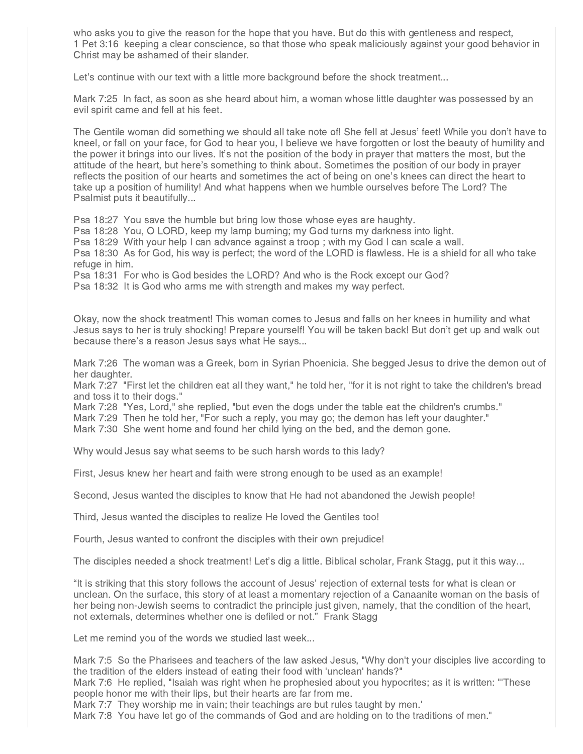who asks you to give the reason for the hope that you have. But do this with gentleness and respect, 1 Pet 3:16 keeping a clear conscience, so that those who speak maliciously against your good behavior in Christ may be ashamed of their slander.

Let's continue with our text with a little more background before the shock treatment...

Mark 7:25 In fact, as soon as she heard about him, a woman whose little daughter was possessed by an evil spirit came and fell at his feet.

The Gentile woman did something we should all take note of! She fell at Jesus' feet! While you don't have to kneel, or fall on your face, for God to hear you, I believe we have forgotten or lost the beauty of humility and the power it brings into our lives. It's not the position of the body in prayer that matters the most, but the attitude of the heart, but here's something to think about. Sometimes the position of our body in prayer reflects the position of our hearts and sometimes the act of being on one's knees can direct the heart to take up a position of humility! And what happens when we humble ourselves before The Lord? The Psalmist puts it beautifully...

Psa 18:27 You save the humble but bring low those whose eyes are haughty.

Psa 18:28 You, O LORD, keep my lamp burning; my God turns my darkness into light.

Psa 18:29 With your help I can advance against a troop ; with my God I can scale a wall.

Psa 18:30 As for God, his way is perfect; the word of the LORD is flawless. He is a shield for all who take refuge in him.

Psa 18:31 For who is God besides the LORD? And who is the Rock except our God?

Psa 18:32 It is God who arms me with strength and makes my way perfect.

Okay, now the shock treatment! This woman comes to Jesus and falls on her knees in humility and what Jesus says to her is truly shocking! Prepare yourself! You will be taken back! But don't get up and walk out because there's a reason Jesus says what He says...

Mark 7:26 The woman was a Greek, born in Syrian Phoenicia. She begged Jesus to drive the demon out of her daughter.

Mark 7:27 "First let the children eat all they want," he told her, "for it is not right to take the children's bread and toss it to their dogs."

Mark 7:28 "Yes, Lord," she replied, "but even the dogs under the table eat the children's crumbs."

Mark 7:29 Then he told her, "For such a reply, you may go; the demon has left your daughter."

Mark 7:30 She went home and found her child lying on the bed, and the demon gone.

Why would Jesus say what seems to be such harsh words to this lady?

First, Jesus knew her heart and faith were strong enough to be used as an example!

Second, Jesus wanted the disciples to know that He had not abandoned the Jewish people!

Third, Jesus wanted the disciples to realize He loved the Gentiles too!

Fourth, Jesus wanted to confront the disciples with their own prejudice!

The disciples needed a shock treatment! Let's dig a little. Biblical scholar, Frank Stagg, put it this way...

"It is striking that this story follows the account of Jesus' rejection of external tests for what is clean or unclean. On the surface, this story of at least a momentary rejection of a Canaanite woman on the basis of her being non-Jewish seems to contradict the principle just given, namely, that the condition of the heart, not externals, determines whether one is defiled or not." Frank Stagg

Let me remind you of the words we studied last week...

Mark 7:5 So the Pharisees and teachers of the law asked Jesus, "Why don't your disciples live according to the tradition of the elders instead of eating their food with 'unclean' hands?"

Mark 7:6 He replied, "Isaiah was right when he prophesied about you hypocrites; as it is written: "'These people honor me with their lips, but their hearts are far from me.

Mark 7:7 They worship me in vain; their teachings are but rules taught by men.'

Mark 7:8 You have let go of the commands of God and are holding on to the traditions of men."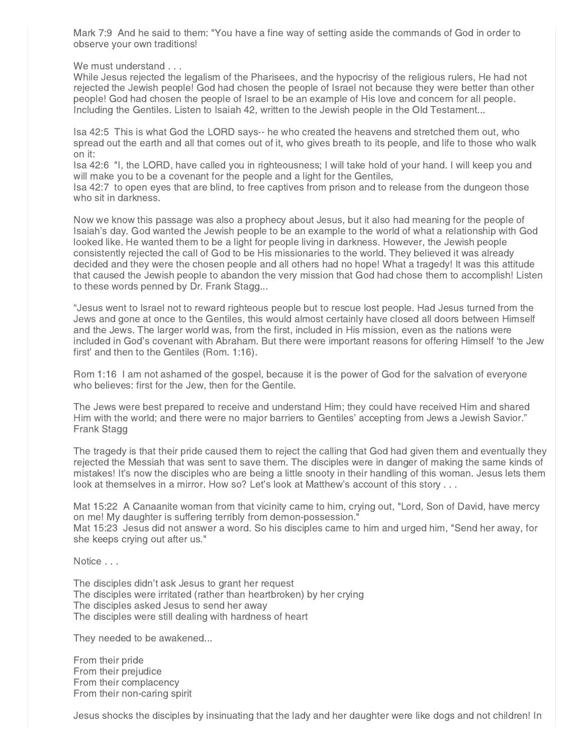Mark 7:9 And he said to them: "You have a fine way of setting aside the commands of God in order to observe your own traditions!

We must understand . . .

While Jesus rejected the legalism of the Pharisees, and the hypocrisy of the religious rulers, He had not rejected the Jewish people! God had chosen the people of Israel not because they were better than other people! God had chosen the people of Israel to be an example of His love and concern for all people. Including the Gentiles. Listen to Isaiah 42, written to the Jewish people in the Old Testament...

Isa 42:5 This is what God the LORD says-- he who created the heavens and stretched them out, who spread out the earth and all that comes out of it, who gives breath to its people, and life to those who walk on it:

Isa 42:6 "I, the LORD, have called you in righteousness; I will take hold of your hand. I will keep you and will make you to be a covenant for the people and a light for the Gentiles,

Isa 42:7 to open eyes that are blind, to free captives from prison and to release from the dungeon those who sit in darkness.

Now we know this passage was also a prophecy about Jesus, but it also had meaning for the people of Isaiah's day. God wanted the Jewish people to be an example to the world of what a relationship with God looked like. He wanted them to be a light for people living in darkness. However, the Jewish people consistently rejected the call of God to be His missionaries to the world. They believed it was already decided and they were the chosen people and all others had no hope! What a tragedy! It was this attitude that caused the Jewish people to abandon the very mission that God had chose them to accomplish! Listen to these words penned by Dr. Frank Stagg...

"Jesus went to Israel not to reward righteous people but to rescue lost people. Had Jesus turned from the Jews and gone at once to the Gentiles, this would almost certainly have closed all doors between Himself and the Jews. The larger world was, from the first, included in His mission, even as the nations were included in God's covenant with Abraham. But there were important reasons for offering Himself 'to the Jew first' and then to the Gentiles (Rom. 1:16).

Rom 1:16 I am not ashamed of the gospel, because it is the power of God for the salvation of everyone who believes: first for the Jew, then for the Gentile.

The Jews were best prepared to receive and understand Him; they could have received Him and shared Him with the world; and there were no major barriers to Gentiles' accepting from Jews a Jewish Savior." Frank Stagg

The tragedy is that their pride caused them to reject the calling that God had given them and eventually they rejected the Messiah that was sent to save them. The disciples were in danger of making the same kinds of mistakes! It's now the disciples who are being a little snooty in their handling of this woman. Jesus lets them look at themselves in a mirror. How so? Let's look at Matthew's account of this story . . .

Mat 15:22 A Canaanite woman from that vicinity came to him, crying out, "Lord, Son of David, have mercy on me! My daughter is suffering terribly from demon-possession." Mat 15:23 Jesus did not answer a word. So his disciples came to him and urged him, "Send her away, for she keeps crying out after us."

Notice . . .

The disciples didn't ask Jesus to grant her request The disciples were irritated (rather than heartbroken) by her crying The disciples asked Jesus to send her away The disciples were still dealing with hardness of heart

They needed to be awakened...

From their pride From their prejudice From their complacency From their non-caring spirit

Jesus shocks the disciples by insinuating that the lady and her daughter were like dogs and not children! In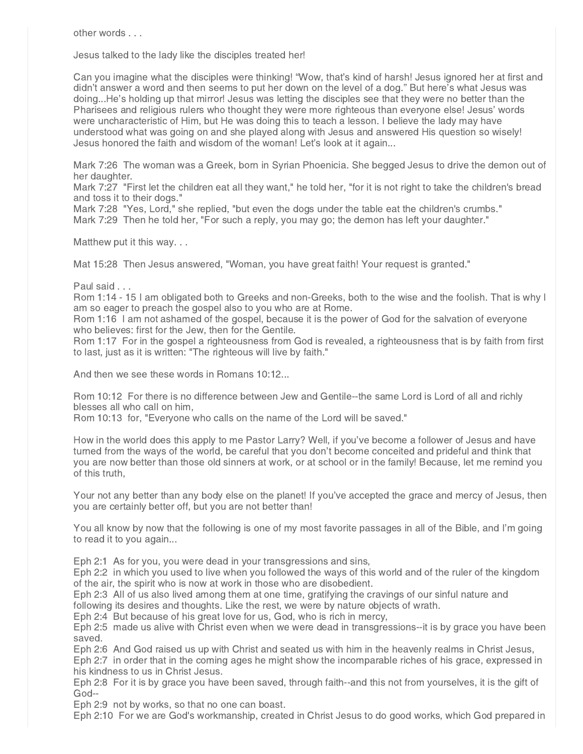other words . . .

Jesus talked to the lady like the disciples treated her!

Can you imagine what the disciples were thinking! "Wow, that's kind of harsh! Jesus ignored her at first and didn't answer a word and then seems to put her down on the level of a dog." But here's what Jesus was doing...He's holding up that mirror! Jesus was letting the disciples see that they were no better than the Pharisees and religious rulers who thought they were more righteous than everyone else! Jesus' words were uncharacteristic of Him, but He was doing this to teach a lesson. I believe the lady may have understood what was going on and she played along with Jesus and answered His question so wisely! Jesus honored the faith and wisdom of the woman! Let's look at it again...

Mark 7:26 The woman was a Greek, born in Syrian Phoenicia. She begged Jesus to drive the demon out of her daughter.

Mark 7:27 "First let the children eat all they want," he told her, "for it is not right to take the children's bread and toss it to their dogs."

Mark 7:28 "Yes, Lord," she replied, "but even the dogs under the table eat the children's crumbs."

Mark 7:29 Then he told her, "For such a reply, you may go; the demon has left your daughter."

Matthew put it this way. . .

Mat 15:28 Then Jesus answered, "Woman, you have great faith! Your request is granted."

Paul said . . .

Rom 1:14 - 15 I am obligated both to Greeks and non-Greeks, both to the wise and the foolish. That is why I am so eager to preach the gospel also to you who are at Rome.

Rom 1:16 I am not ashamed of the gospel, because it is the power of God for the salvation of everyone who believes: first for the Jew, then for the Gentile.

Rom 1:17 For in the gospel a righteousness from God is revealed, a righteousness that is by faith from first to last, just as it is written: "The righteous will live by faith."

And then we see these words in Romans 10:12...

Rom 10:12 For there is no difference between Jew and Gentile--the same Lord is Lord of all and richly blesses all who call on him,

Rom 10:13 for, "Everyone who calls on the name of the Lord will be saved."

How in the world does this apply to me Pastor Larry? Well, if you've become a follower of Jesus and have turned from the ways of the world, be careful that you don't become conceited and prideful and think that you are now better than those old sinners at work, or at school or in the family! Because, let me remind you of this truth,

Your not any better than any body else on the planet! If you've accepted the grace and mercy of Jesus, then you are certainly better off, but you are not better than!

You all know by now that the following is one of my most favorite passages in all of the Bible, and I'm going to read it to you again...

Eph 2:1 As for you, you were dead in your transgressions and sins,

Eph 2:2 in which you used to live when you followed the ways of this world and of the ruler of the kingdom of the air, the spirit who is now at work in those who are disobedient.

Eph 2:3 All of us also lived among them at one time, gratifying the cravings of our sinful nature and following its desires and thoughts. Like the rest, we were by nature objects of wrath.

Eph 2:4 But because of his great love for us, God, who is rich in mercy,

Eph 2:5 made us alive with Christ even when we were dead in transgressions--it is by grace you have been saved.

Eph 2:6 And God raised us up with Christ and seated us with him in the heavenly realms in Christ Jesus, Eph 2:7 in order that in the coming ages he might show the incomparable riches of his grace, expressed in his kindness to us in Christ Jesus.

Eph 2:8 For it is by grace you have been saved, through faith--and this not from yourselves, it is the gift of God--

Eph 2:9 not by works, so that no one can boast.

Eph 2:10 For we are God's workmanship, created in Christ Jesus to do good works, which God prepared in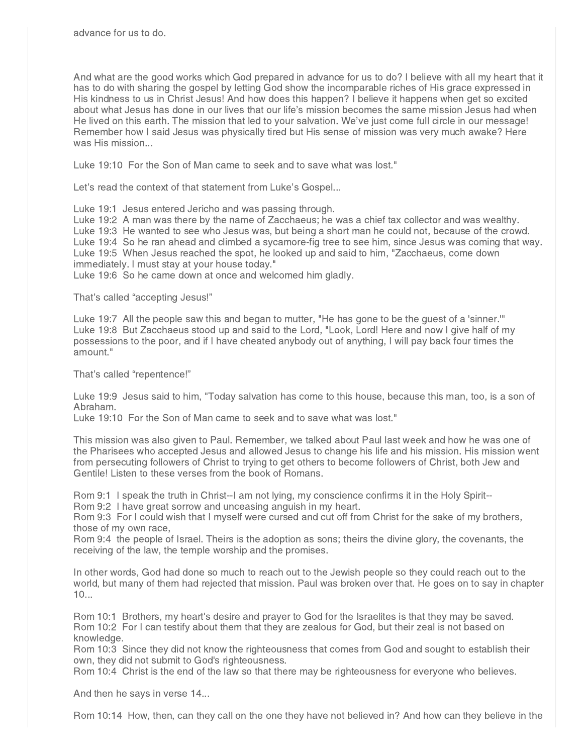And what are the good works which God prepared in advance for us to do? I believe with all my heart that it has to do with sharing the gospel by letting God show the incomparable riches of His grace expressed in His kindness to us in Christ Jesus! And how does this happen? I believe it happens when get so excited about what Jesus has done in our lives that our life's mission becomes the same mission Jesus had when He lived on this earth. The mission that led to your salvation. We've just come full circle in our message! Remember how I said Jesus was physically tired but His sense of mission was very much awake? Here was His mission...

Luke 19:10 For the Son of Man came to seek and to save what was lost."

Let's read the context of that statement from Luke's Gospel...

Luke 19:1 Jesus entered Jericho and was passing through.

Luke 19:2 A man was there by the name of Zacchaeus; he was a chief tax collector and was wealthy. Luke 19:3 He wanted to see who Jesus was, but being a short man he could not, because of the crowd. Luke 19:4 So he ran ahead and climbed a sycamore-fig tree to see him, since Jesus was coming that way. Luke 19:5 When Jesus reached the spot, he looked up and said to him, "Zacchaeus, come down immediately. I must stay at your house today."

Luke 19:6 So he came down at once and welcomed him gladly.

That's called "accepting Jesus!"

Luke 19:7 All the people saw this and began to mutter, "He has gone to be the guest of a 'sinner.'" Luke 19:8 But Zacchaeus stood up and said to the Lord, "Look, Lord! Here and now I give half of my possessions to the poor, and if I have cheated anybody out of anything, I will pay back four times the amount."

That's called "repentence!"

Luke 19:9 Jesus said to him, "Today salvation has come to this house, because this man, too, is a son of Abraham.

Luke 19:10 For the Son of Man came to seek and to save what was lost."

This mission was also given to Paul. Remember, we talked about Paul last week and how he was one of the Pharisees who accepted Jesus and allowed Jesus to change his life and his mission. His mission went from persecuting followers of Christ to trying to get others to become followers of Christ, both Jew and Gentile! Listen to these verses from the book of Romans.

Rom 9:1 I speak the truth in Christ--I am not lying, my conscience confirms it in the Holy Spirit--

Rom 9:2 I have great sorrow and unceasing anguish in my heart.

Rom 9:3 For I could wish that I myself were cursed and cut off from Christ for the sake of my brothers, those of my own race,

Rom 9:4 the people of Israel. Theirs is the adoption as sons; theirs the divine glory, the covenants, the receiving of the law, the temple worship and the promises.

In other words, God had done so much to reach out to the Jewish people so they could reach out to the world, but many of them had rejected that mission. Paul was broken over that. He goes on to say in chapter 10...

Rom 10:1 Brothers, my heart's desire and prayer to God for the Israelites is that they may be saved. Rom 10:2 For I can testify about them that they are zealous for God, but their zeal is not based on knowledge.

Rom 10:3 Since they did not know the righteousness that comes from God and sought to establish their own, they did not submit to God's righteousness.

Rom 10:4 Christ is the end of the law so that there may be righteousness for everyone who believes.

And then he says in verse 14...

Rom 10:14 How, then, can they call on the one they have not believed in? And how can they believe in the